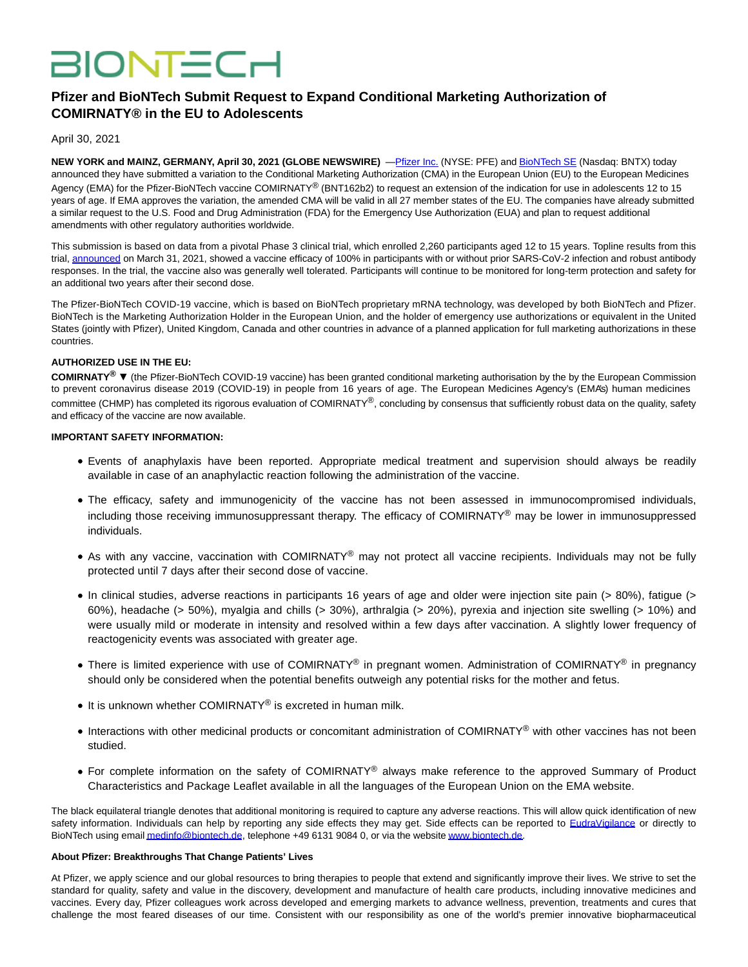# **BIONTECH**

# **Pfizer and BioNTech Submit Request to Expand Conditional Marketing Authorization of COMIRNATY® in the EU to Adolescents**

April 30, 2021

**NEW YORK and MAINZ, GERMANY, April 30, 2021 (GLOBE NEWSWIRE)** —**Pfizer Inc. (NYSE: PFE) an[d BioNTech SE \(](https://www.globenewswire.com/Tracker?data=qQjEzp9qw0wigPh5KJxP_IcLeI_NjpMSmIV7uoPAqHKxEbe5jAE-lN-Iot2TcL4k5jYUYrTgRJJ-rz500cqxlA==)Nasdaq: BNTX)** today announced they have submitted a variation to the Conditional Marketing Authorization (CMA) in the European Union (EU) to the European Medicines Agency (EMA) for the Pfizer-BioNTech vaccine COMIRNATY® (BNT162b2) to request an extension of the indication for use in adolescents 12 to 15 years of age. If EMA approves the variation, the amended CMA will be valid in all 27 member states of the EU. The companies have already submitted a similar request to the U.S. Food and Drug Administration (FDA) for the Emergency Use Authorization (EUA) and plan to request additional amendments with other regulatory authorities worldwide.

This submission is based on data from a pivotal Phase 3 clinical trial, which enrolled 2,260 participants aged 12 to 15 years. Topline results from this trial[, announced o](https://www.globenewswire.com/Tracker?data=H2gmOeaIPRGWR00WiSrRYYb6LozmM_uNMWDclvt7xqIUq5b007ONYUqGgfEAgSBJRszUKkpJfMivKrXR-N1KrtKH8YkGXgNin6xOupGTcovijRrfP5j0i1gUUQ0l5ksvseLBjguU1BOhCp3b6RfiHET_K7cdwzRCA_WS2tbTlG6oIcXgCg398qoncxChRpofHWLHWNnp2LuzeowZXg_ubDIifSYcOktt3p1lMVWVM-U=)n March 31, 2021, showed a vaccine efficacy of 100% in participants with or without prior SARS-CoV-2 infection and robust antibody responses. In the trial, the vaccine also was generally well tolerated. Participants will continue to be monitored for long-term protection and safety for an additional two years after their second dose.

The Pfizer-BioNTech COVID-19 vaccine, which is based on BioNTech proprietary mRNA technology, was developed by both BioNTech and Pfizer. BioNTech is the Marketing Authorization Holder in the European Union, and the holder of emergency use authorizations or equivalent in the United States (jointly with Pfizer), United Kingdom, Canada and other countries in advance of a planned application for full marketing authorizations in these countries.

### **AUTHORIZED USE IN THE EU:**

**COMIRNATY® ▼** (the Pfizer-BioNTech COVID-19 vaccine) has been granted conditional marketing authorisation by the by the European Commission to prevent coronavirus disease 2019 (COVID-19) in people from 16 years of age. The European Medicines Agency's (EMA's) human medicines committee (CHMP) has completed its rigorous evaluation of COMIRNATY®, concluding by consensus that sufficiently robust data on the quality, safety and efficacy of the vaccine are now available.

## **IMPORTANT SAFETY INFORMATION:**

- Events of anaphylaxis have been reported. Appropriate medical treatment and supervision should always be readily available in case of an anaphylactic reaction following the administration of the vaccine.
- The efficacy, safety and immunogenicity of the vaccine has not been assessed in immunocompromised individuals, including those receiving immunosuppressant therapy. The efficacy of COMIRNATY<sup>®</sup> may be lower in immunosuppressed individuals.
- As with any vaccine, vaccination with COMIRNATY<sup>®</sup> may not protect all vaccine recipients. Individuals may not be fully protected until 7 days after their second dose of vaccine.
- In clinical studies, adverse reactions in participants 16 years of age and older were injection site pain (> 80%), fatigue (> 60%), headache (> 50%), myalgia and chills (> 30%), arthralgia (> 20%), pyrexia and injection site swelling (> 10%) and were usually mild or moderate in intensity and resolved within a few days after vaccination. A slightly lower frequency of reactogenicity events was associated with greater age.
- There is limited experience with use of COMIRNATY® in pregnant women. Administration of COMIRNATY® in pregnancy should only be considered when the potential benefits outweigh any potential risks for the mother and fetus.
- It is unknown whether COMIRNATY<sup>®</sup> is excreted in human milk.
- Interactions with other medicinal products or concomitant administration of COMIRNATY<sup>®</sup> with other vaccines has not been studied.
- For complete information on the safety of COMIRNATY® always make reference to the approved Summary of Product Characteristics and Package Leaflet available in all the languages of the European Union on the EMA website.

The black equilateral triangle denotes that additional monitoring is required to capture any adverse reactions. This will allow quick identification of new safety information. Individuals can help by reporting any side effects they may get. Side effects can be reported to [EudraVigilance](https://www.globenewswire.com/Tracker?data=ONLd19tnLewG_BV2Sw4PEzsNVjKevG_WHWxt_CGAWRigqLhyWXSnmSRyipUG1JgbwgFzqjnlPmUuOn26NFfwPw==) or directly to BioNTech using emai[l medinfo@biontech.de,](https://www.globenewswire.com/Tracker?data=Z-YdvtGtPEXUabA4r6BCEb6kiTUNVh60CSdOOjxNsMfjAlEGj6XKXxYlN3Iq4hKc5zWY2yU3gMAihZCsQxq2NSehNTieMNuZyZoJ8Chyuv0=) telephone +49 6131 9084 0, or via the websit[e www.biontech.de.](https://www.globenewswire.com/Tracker?data=p5qMxgypswD0BKlIzzY59DVNJ2Htuhev4G_0wJdjn0YyMGKiQL2xoHFl-FNlu8MrS8wP79CO2YSkMbvxPXzKGQ==)

#### **About Pfizer: Breakthroughs That Change Patients' Lives**

At Pfizer, we apply science and our global resources to bring therapies to people that extend and significantly improve their lives. We strive to set the standard for quality, safety and value in the discovery, development and manufacture of health care products, including innovative medicines and vaccines. Every day, Pfizer colleagues work across developed and emerging markets to advance wellness, prevention, treatments and cures that challenge the most feared diseases of our time. Consistent with our responsibility as one of the world's premier innovative biopharmaceutical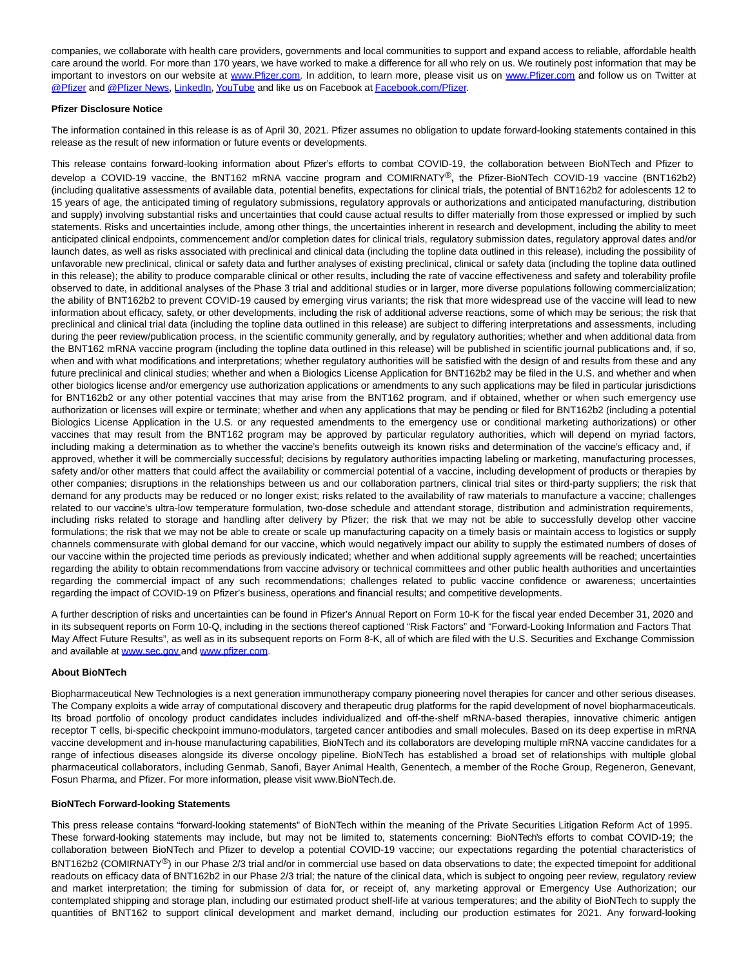companies, we collaborate with health care providers, governments and local communities to support and expand access to reliable, affordable health care around the world. For more than 170 years, we have worked to make a difference for all who rely on us. We routinely post information that may be important to investors on our website at [www.Pfizer.com.](https://www.globenewswire.com/Tracker?data=p5qMxgypswD0BKlIzzY59F2pby-_OuVo_hLCVfQnS9C2VA9JQ_tm2qeptXCkKU53NOUANBptauTFVGZCClgoRw==) In addition, to learn more, please visit us on [www.Pfizer.com a](https://www.globenewswire.com/Tracker?data=p5qMxgypswD0BKlIzzY59BFNT0z1XYd7cszwXqB5tryQFNH2L81aFo1rWjwFNF2i0hmQcmHSdtbKmSRKkb0kwA==)nd follow us on Twitter at [@Pfizer a](https://www.globenewswire.com/Tracker?data=LyeSxjGlTe_sGCkS-ThA938I8X69SR3iwsOieZ83Zx5314cBSpflTZuj2kXacrWEuBfxbMzge6G1pRc-y947Gw==)nd [@Pfizer News,](https://www.globenewswire.com/Tracker?data=LyeSxjGlTe_sGCkS-ThA98809u1C4-sYN-LI0JmXYe2_tKCeKym_btVNjQG0QVe0cCreXAcUA4hkISbIvFXt3tnSOCoIpNhp959PSxT33Fg=) [LinkedIn,](https://www.globenewswire.com/Tracker?data=l4Ya1DBv85unjVPu0Nb-p9S1rHd_rRYE8Y_CfiupgmoUAydOUo3XyyjCiVaj73upQqySWZBS_hrKbZlovx-bSq9n_PWSFNu01qFFVi6nvNY=) [YouTube a](https://www.globenewswire.com/Tracker?data=pMCF2qjslEptLJsGcLQMc57f-d9u-EXZjuCtXyO3OS_cuXcrD90ud6v_etU8uWipPj3B3PI1M7_L7PsgPkK9_Q==)nd like us on Facebook a[t Facebook.com/Pfizer.](https://www.globenewswire.com/Tracker?data=Nwu2tBOCD2oEJuzPTA_ld3agx4NfM-RqGcBJB8Md80zc7rJX_piJMzvvhjWf4Nas7GBHiG8RQyss2yxs6_4GgLOzgf1REfkd0H8L1Ykpo34=)

#### **Pfizer Disclosure Notice**

The information contained in this release is as of April 30, 2021. Pfizer assumes no obligation to update forward-looking statements contained in this release as the result of new information or future events or developments.

This release contains forward-looking information about Pfizer's efforts to combat COVID-19, the collaboration between BioNTech and Pfizer to develop a COVID-19 vaccine, the BNT162 mRNA vaccine program and COMIRNATY®**,** the Pfizer-BioNTech COVID-19 vaccine (BNT162b2) (including qualitative assessments of available data, potential benefits, expectations for clinical trials, the potential of BNT162b2 for adolescents 12 to 15 years of age, the anticipated timing of regulatory submissions, regulatory approvals or authorizations and anticipated manufacturing, distribution and supply) involving substantial risks and uncertainties that could cause actual results to differ materially from those expressed or implied by such statements. Risks and uncertainties include, among other things, the uncertainties inherent in research and development, including the ability to meet anticipated clinical endpoints, commencement and/or completion dates for clinical trials, regulatory submission dates, regulatory approval dates and/or launch dates, as well as risks associated with preclinical and clinical data (including the topline data outlined in this release), including the possibility of unfavorable new preclinical, clinical or safety data and further analyses of existing preclinical, clinical or safety data (including the topline data outlined in this release); the ability to produce comparable clinical or other results, including the rate of vaccine effectiveness and safety and tolerability profile observed to date, in additional analyses of the Phase 3 trial and additional studies or in larger, more diverse populations following commercialization; the ability of BNT162b2 to prevent COVID-19 caused by emerging virus variants; the risk that more widespread use of the vaccine will lead to new information about efficacy, safety, or other developments, including the risk of additional adverse reactions, some of which may be serious; the risk that preclinical and clinical trial data (including the topline data outlined in this release) are subject to differing interpretations and assessments, including during the peer review/publication process, in the scientific community generally, and by regulatory authorities; whether and when additional data from the BNT162 mRNA vaccine program (including the topline data outlined in this release) will be published in scientific journal publications and, if so, when and with what modifications and interpretations; whether regulatory authorities will be satisfied with the design of and results from these and any future preclinical and clinical studies; whether and when a Biologics License Application for BNT162b2 may be filed in the U.S. and whether and when other biologics license and/or emergency use authorization applications or amendments to any such applications may be filed in particular jurisdictions for BNT162b2 or any other potential vaccines that may arise from the BNT162 program, and if obtained, whether or when such emergency use authorization or licenses will expire or terminate; whether and when any applications that may be pending or filed for BNT162b2 (including a potential Biologics License Application in the U.S. or any requested amendments to the emergency use or conditional marketing authorizations) or other vaccines that may result from the BNT162 program may be approved by particular regulatory authorities, which will depend on myriad factors, including making a determination as to whether the vaccine's benefits outweigh its known risks and determination of the vaccine's efficacy and, if approved, whether it will be commercially successful; decisions by regulatory authorities impacting labeling or marketing, manufacturing processes, safety and/or other matters that could affect the availability or commercial potential of a vaccine, including development of products or therapies by other companies; disruptions in the relationships between us and our collaboration partners, clinical trial sites or third-party suppliers; the risk that demand for any products may be reduced or no longer exist; risks related to the availability of raw materials to manufacture a vaccine; challenges related to our vaccine's ultra-low temperature formulation, two-dose schedule and attendant storage, distribution and administration requirements, including risks related to storage and handling after delivery by Pfizer; the risk that we may not be able to successfully develop other vaccine formulations; the risk that we may not be able to create or scale up manufacturing capacity on a timely basis or maintain access to logistics or supply channels commensurate with global demand for our vaccine, which would negatively impact our ability to supply the estimated numbers of doses of our vaccine within the projected time periods as previously indicated; whether and when additional supply agreements will be reached; uncertainties regarding the ability to obtain recommendations from vaccine advisory or technical committees and other public health authorities and uncertainties regarding the commercial impact of any such recommendations; challenges related to public vaccine confidence or awareness; uncertainties regarding the impact of COVID-19 on Pfizer's business, operations and financial results; and competitive developments.

A further description of risks and uncertainties can be found in Pfizer's Annual Report on Form 10-K for the fiscal year ended December 31, 2020 and in its subsequent reports on Form 10-Q, including in the sections thereof captioned "Risk Factors" and "Forward-Looking Information and Factors That May Affect Future Results", as well as in its subsequent reports on Form 8-K, all of which are filed with the U.S. Securities and Exchange Commission and available at [www.sec.gov a](https://www.globenewswire.com/Tracker?data=p5qMxgypswD0BKlIzzY59AOe0ACKpbJOhOiMeBwNBcu3xgdkg8TuK7swIbEo6eSfCzon64JnzfyV8h3IAxepqw==)nd [www.pfizer.com.](https://www.globenewswire.com/Tracker?data=p5qMxgypswD0BKlIzzY59Fqwn6vatDOPrWpTfxouxYcjLoAIVI_Uv6RmEFPIW1ha9_kJ1e1J3kW3QRYrcECGQVl4jrCJX1lw5nOE7qBe6Nw2RiZzqAK0lvPHD8OLsBrLxmLDlhODWPe11ddt0UEE9sFzEuIC9spou5QMhbvYP9OOVAuTgfrQw_0nTtfjnR8Adqp1LVe_-WKsVqxWEyogpPzRA2VLzHVEaqGy988kgCo=)

#### **About BioNTech**

Biopharmaceutical New Technologies is a next generation immunotherapy company pioneering novel therapies for cancer and other serious diseases. The Company exploits a wide array of computational discovery and therapeutic drug platforms for the rapid development of novel biopharmaceuticals. Its broad portfolio of oncology product candidates includes individualized and off-the-shelf mRNA-based therapies, innovative chimeric antigen receptor T cells, bi-specific checkpoint immuno-modulators, targeted cancer antibodies and small molecules. Based on its deep expertise in mRNA vaccine development and in-house manufacturing capabilities, BioNTech and its collaborators are developing multiple mRNA vaccine candidates for a range of infectious diseases alongside its diverse oncology pipeline. BioNTech has established a broad set of relationships with multiple global pharmaceutical collaborators, including Genmab, Sanofi, Bayer Animal Health, Genentech, a member of the Roche Group, Regeneron, Genevant, Fosun Pharma, and Pfizer. For more information, please visit www.BioNTech.de.

#### **BioNTech Forward-looking Statements**

This press release contains "forward-looking statements" of BioNTech within the meaning of the Private Securities Litigation Reform Act of 1995. These forward-looking statements may include, but may not be limited to, statements concerning: BioNTech's efforts to combat COVID-19; the collaboration between BioNTech and Pfizer to develop a potential COVID-19 vaccine; our expectations regarding the potential characteristics of BNT162b2 (COMIRNATY<sup>®</sup>) in our Phase 2/3 trial and/or in commercial use based on data observations to date; the expected timepoint for additional readouts on efficacy data of BNT162b2 in our Phase 2/3 trial; the nature of the clinical data, which is subject to ongoing peer review, regulatory review and market interpretation; the timing for submission of data for, or receipt of, any marketing approval or Emergency Use Authorization; our contemplated shipping and storage plan, including our estimated product shelf-life at various temperatures; and the ability of BioNTech to supply the quantities of BNT162 to support clinical development and market demand, including our production estimates for 2021. Any forward-looking